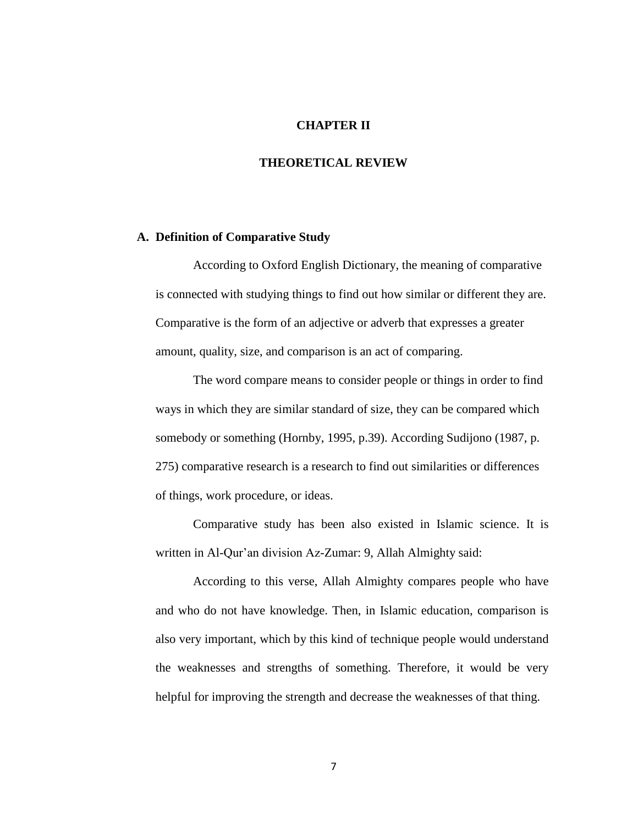# **CHAPTER II**

# **THEORETICAL REVIEW**

#### **A. Definition of Comparative Study**

According to Oxford English Dictionary, the meaning of comparative is connected with studying things to find out how similar or different they are. Comparative is the form of an adjective or adverb that expresses a greater amount, quality, size, and comparison is an act of comparing.

The word compare means to consider people or things in order to find ways in which they are similar standard of size, they can be compared which somebody or something (Hornby, 1995, p.39). According Sudijono (1987, p. 275) comparative research is a research to find out similarities or differences of things, work procedure, or ideas.

Comparative study has been also existed in Islamic science. It is written in Al-Qur'an division Az-Zumar: 9, Allah Almighty said:

According to this verse, Allah Almighty compares people who have and who do not have knowledge. Then, in Islamic education, comparison is also very important, which by this kind of technique people would understand the weaknesses and strengths of something. Therefore, it would be very helpful for improving the strength and decrease the weaknesses of that thing.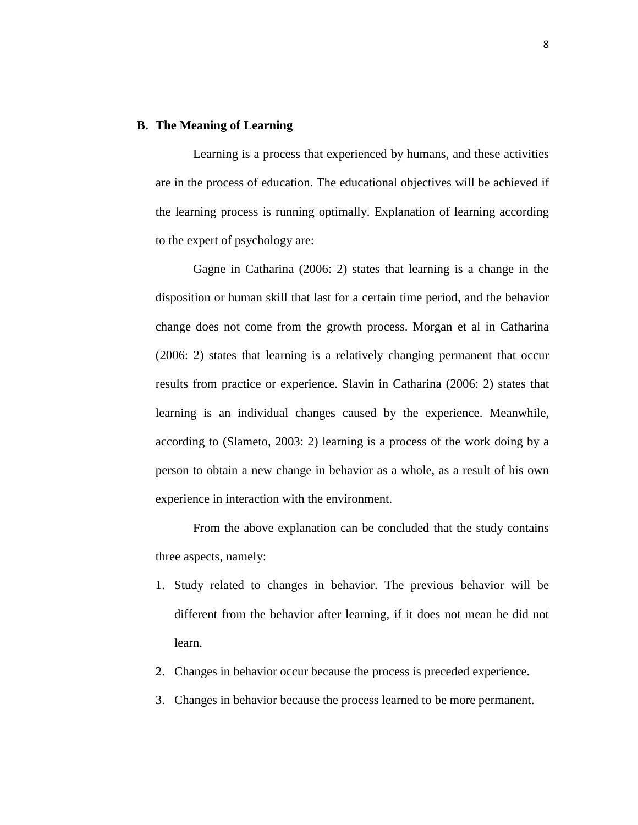# **B. The Meaning of Learning**

Learning is a process that experienced by humans, and these activities are in the process of education. The educational objectives will be achieved if the learning process is running optimally. Explanation of learning according to the expert of psychology are:

Gagne in Catharina (2006: 2) states that learning is a change in the disposition or human skill that last for a certain time period, and the behavior change does not come from the growth process. Morgan et al in Catharina (2006: 2) states that learning is a relatively changing permanent that occur results from practice or experience. Slavin in Catharina (2006: 2) states that learning is an individual changes caused by the experience. Meanwhile, according to (Slameto, 2003: 2) learning is a process of the work doing by a person to obtain a new change in behavior as a whole, as a result of his own experience in interaction with the environment.

From the above explanation can be concluded that the study contains three aspects, namely:

- 1. Study related to changes in behavior. The previous behavior will be different from the behavior after learning, if it does not mean he did not learn.
- 2. Changes in behavior occur because the process is preceded experience.
- 3. Changes in behavior because the process learned to be more permanent.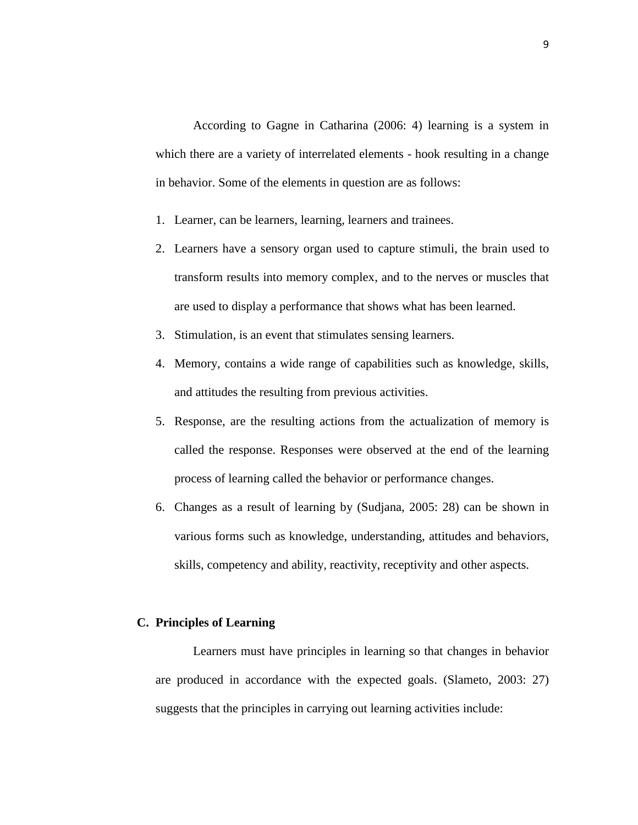According to Gagne in Catharina (2006: 4) learning is a system in which there are a variety of interrelated elements - hook resulting in a change in behavior. Some of the elements in question are as follows:

- 1. Learner, can be learners, learning, learners and trainees.
- 2. Learners have a sensory organ used to capture stimuli, the brain used to transform results into memory complex, and to the nerves or muscles that are used to display a performance that shows what has been learned.
- 3. Stimulation, is an event that stimulates sensing learners.
- 4. Memory, contains a wide range of capabilities such as knowledge, skills, and attitudes the resulting from previous activities.
- 5. Response, are the resulting actions from the actualization of memory is called the response. Responses were observed at the end of the learning process of learning called the behavior or performance changes.
- 6. Changes as a result of learning by (Sudjana, 2005: 28) can be shown in various forms such as knowledge, understanding, attitudes and behaviors, skills, competency and ability, reactivity, receptivity and other aspects.

#### **C. Principles of Learning**

Learners must have principles in learning so that changes in behavior are produced in accordance with the expected goals. (Slameto, 2003: 27) suggests that the principles in carrying out learning activities include: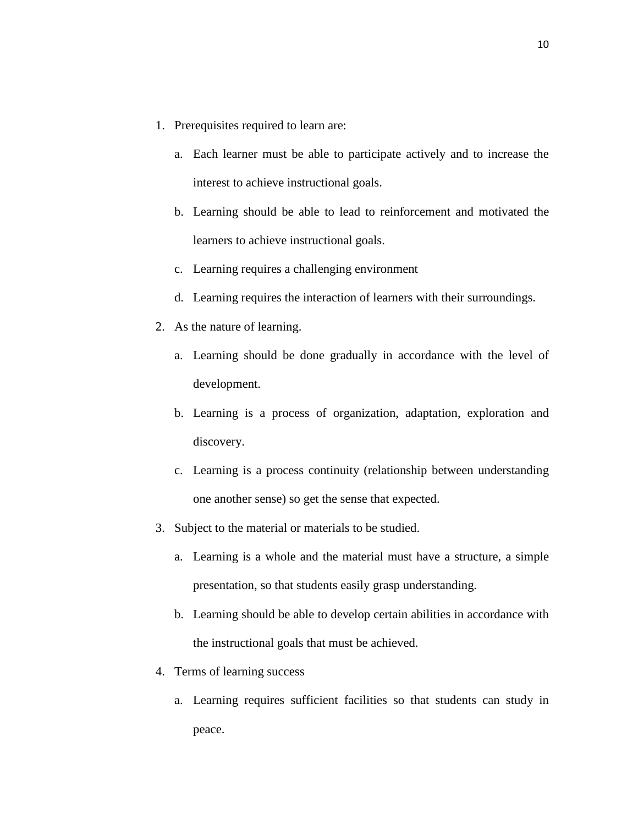- 1. Prerequisites required to learn are:
	- a. Each learner must be able to participate actively and to increase the interest to achieve instructional goals.
	- b. Learning should be able to lead to reinforcement and motivated the learners to achieve instructional goals.
	- c. Learning requires a challenging environment
	- d. Learning requires the interaction of learners with their surroundings.
- 2. As the nature of learning.
	- a. Learning should be done gradually in accordance with the level of development.
	- b. Learning is a process of organization, adaptation, exploration and discovery.
	- c. Learning is a process continuity (relationship between understanding one another sense) so get the sense that expected.
- 3. Subject to the material or materials to be studied.
	- a. Learning is a whole and the material must have a structure, a simple presentation, so that students easily grasp understanding.
	- b. Learning should be able to develop certain abilities in accordance with the instructional goals that must be achieved.
- 4. Terms of learning success
	- a. Learning requires sufficient facilities so that students can study in peace.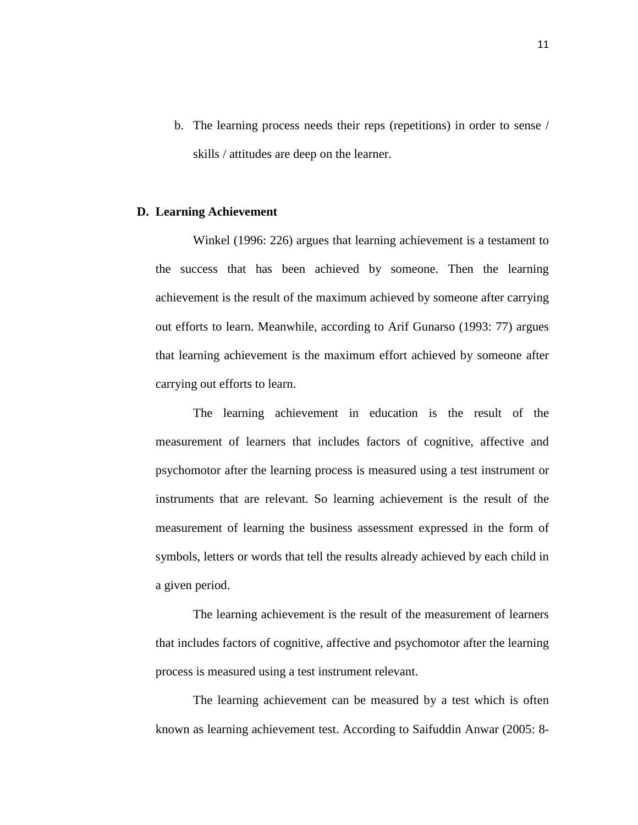b. The learning process needs their reps (repetitions) in order to sense / skills / attitudes are deep on the learner.

### **D. Learning Achievement**

Winkel (1996: 226) argues that learning achievement is a testament to the success that has been achieved by someone. Then the learning achievement is the result of the maximum achieved by someone after carrying out efforts to learn. Meanwhile, according to Arif Gunarso (1993: 77) argues that learning achievement is the maximum effort achieved by someone after carrying out efforts to learn.

The learning achievement in education is the result of the measurement of learners that includes factors of cognitive, affective and psychomotor after the learning process is measured using a test instrument or instruments that are relevant. So learning achievement is the result of the measurement of learning the business assessment expressed in the form of symbols, letters or words that tell the results already achieved by each child in a given period.

The learning achievement is the result of the measurement of learners that includes factors of cognitive, affective and psychomotor after the learning process is measured using a test instrument relevant.

The learning achievement can be measured by a test which is often known as learning achievement test. According to Saifuddin Anwar (2005: 8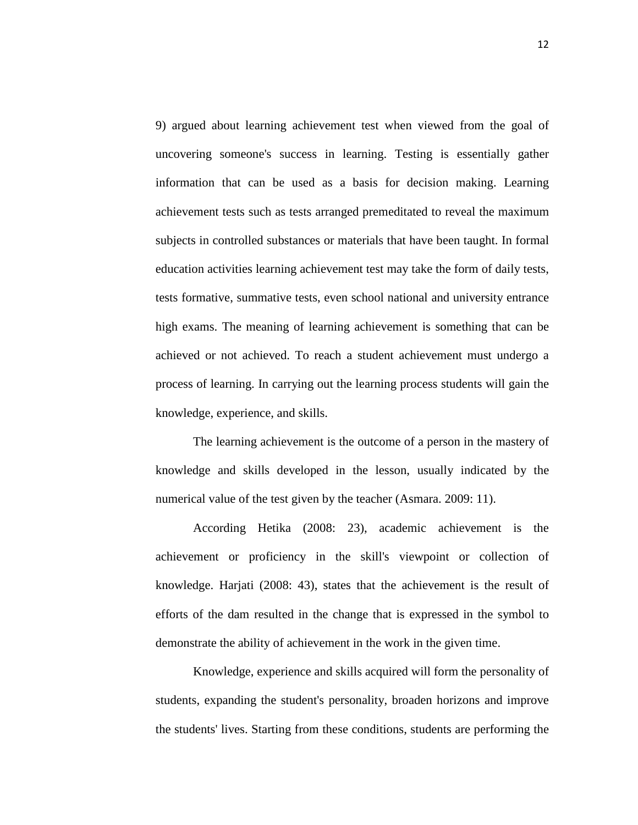9) argued about learning achievement test when viewed from the goal of uncovering someone's success in learning. Testing is essentially gather information that can be used as a basis for decision making. Learning achievement tests such as tests arranged premeditated to reveal the maximum subjects in controlled substances or materials that have been taught. In formal education activities learning achievement test may take the form of daily tests, tests formative, summative tests, even school national and university entrance high exams. The meaning of learning achievement is something that can be achieved or not achieved. To reach a student achievement must undergo a process of learning. In carrying out the learning process students will gain the knowledge, experience, and skills.

The learning achievement is the outcome of a person in the mastery of knowledge and skills developed in the lesson, usually indicated by the numerical value of the test given by the teacher (Asmara. 2009: 11).

According Hetika (2008: 23), academic achievement is the achievement or proficiency in the skill's viewpoint or collection of knowledge. Harjati (2008: 43), states that the achievement is the result of efforts of the dam resulted in the change that is expressed in the symbol to demonstrate the ability of achievement in the work in the given time.

Knowledge, experience and skills acquired will form the personality of students, expanding the student's personality, broaden horizons and improve the students' lives. Starting from these conditions, students are performing the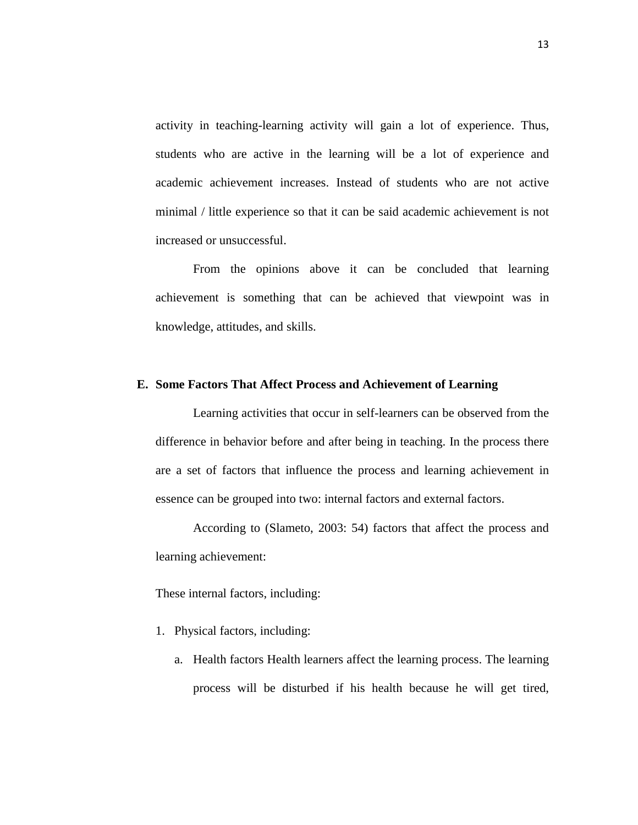activity in teaching-learning activity will gain a lot of experience. Thus, students who are active in the learning will be a lot of experience and academic achievement increases. Instead of students who are not active minimal / little experience so that it can be said academic achievement is not increased or unsuccessful.

From the opinions above it can be concluded that learning achievement is something that can be achieved that viewpoint was in knowledge, attitudes, and skills.

### **E. Some Factors That Affect Process and Achievement of Learning**

Learning activities that occur in self-learners can be observed from the difference in behavior before and after being in teaching. In the process there are a set of factors that influence the process and learning achievement in essence can be grouped into two: internal factors and external factors.

According to (Slameto, 2003: 54) factors that affect the process and learning achievement:

These internal factors, including:

- 1. Physical factors, including:
	- a. Health factors Health learners affect the learning process. The learning process will be disturbed if his health because he will get tired,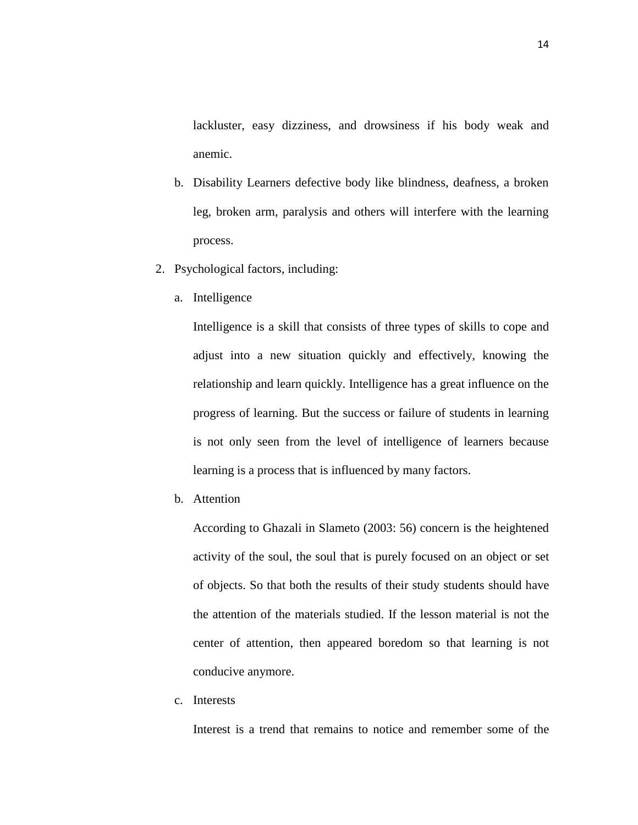lackluster, easy dizziness, and drowsiness if his body weak and anemic.

- b. Disability Learners defective body like blindness, deafness, a broken leg, broken arm, paralysis and others will interfere with the learning process.
- 2. Psychological factors, including:
	- a. Intelligence

Intelligence is a skill that consists of three types of skills to cope and adjust into a new situation quickly and effectively, knowing the relationship and learn quickly. Intelligence has a great influence on the progress of learning. But the success or failure of students in learning is not only seen from the level of intelligence of learners because learning is a process that is influenced by many factors.

b. Attention

According to Ghazali in Slameto (2003: 56) concern is the heightened activity of the soul, the soul that is purely focused on an object or set of objects. So that both the results of their study students should have the attention of the materials studied. If the lesson material is not the center of attention, then appeared boredom so that learning is not conducive anymore.

c. Interests

Interest is a trend that remains to notice and remember some of the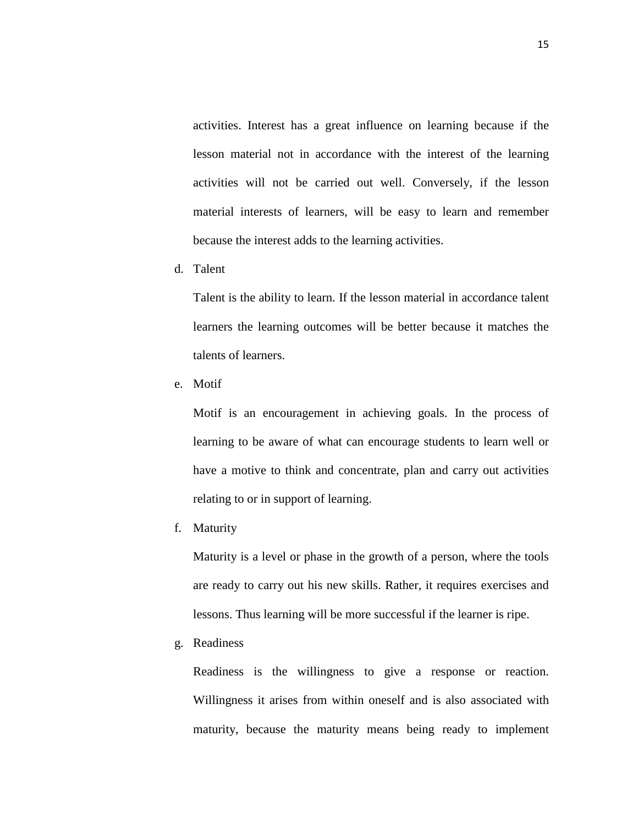activities. Interest has a great influence on learning because if the lesson material not in accordance with the interest of the learning activities will not be carried out well. Conversely, if the lesson material interests of learners, will be easy to learn and remember because the interest adds to the learning activities.

d. Talent

Talent is the ability to learn. If the lesson material in accordance talent learners the learning outcomes will be better because it matches the talents of learners.

e. Motif

Motif is an encouragement in achieving goals. In the process of learning to be aware of what can encourage students to learn well or have a motive to think and concentrate, plan and carry out activities relating to or in support of learning.

f. Maturity

Maturity is a level or phase in the growth of a person, where the tools are ready to carry out his new skills. Rather, it requires exercises and lessons. Thus learning will be more successful if the learner is ripe.

g. Readiness

Readiness is the willingness to give a response or reaction. Willingness it arises from within oneself and is also associated with maturity, because the maturity means being ready to implement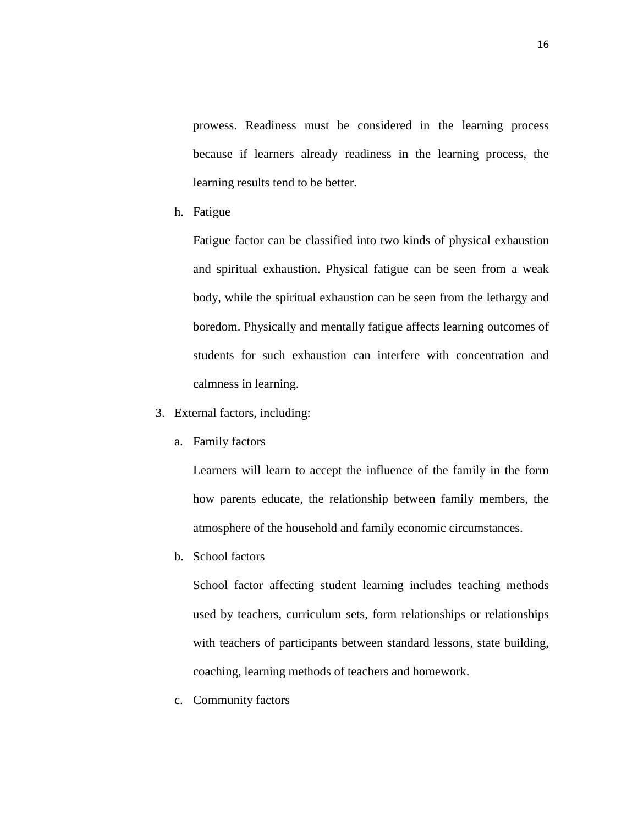prowess. Readiness must be considered in the learning process because if learners already readiness in the learning process, the learning results tend to be better.

h. Fatigue

Fatigue factor can be classified into two kinds of physical exhaustion and spiritual exhaustion. Physical fatigue can be seen from a weak body, while the spiritual exhaustion can be seen from the lethargy and boredom. Physically and mentally fatigue affects learning outcomes of students for such exhaustion can interfere with concentration and calmness in learning.

- 3. External factors, including:
	- a. Family factors

Learners will learn to accept the influence of the family in the form how parents educate, the relationship between family members, the atmosphere of the household and family economic circumstances.

b. School factors

School factor affecting student learning includes teaching methods used by teachers, curriculum sets, form relationships or relationships with teachers of participants between standard lessons, state building, coaching, learning methods of teachers and homework.

c. Community factors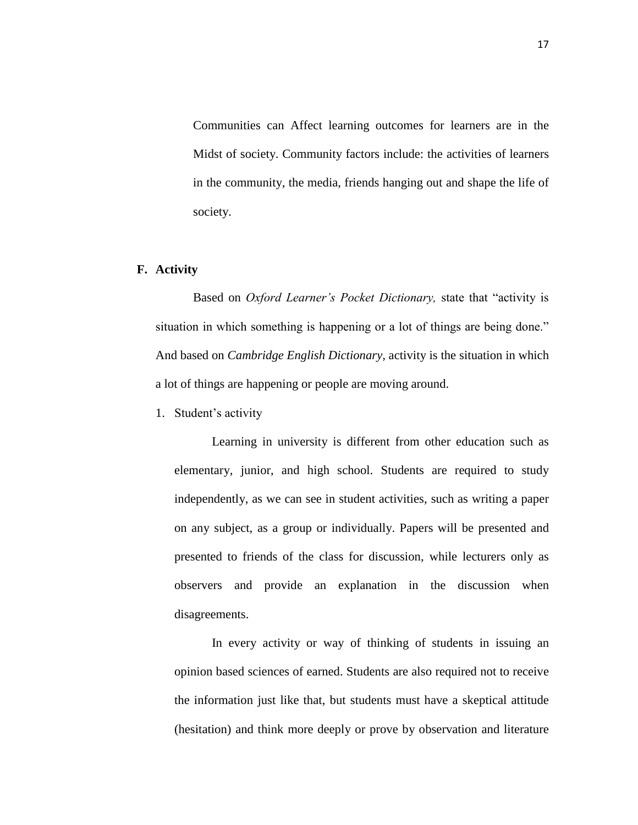Communities can Affect learning outcomes for learners are in the Midst of society. Community factors include: the activities of learners in the community, the media, friends hanging out and shape the life of society.

# **F. Activity**

Based on *Oxford Learner's Pocket Dictionary,* state that "activity is situation in which something is happening or a lot of things are being done." And based on *Cambridge English Dictionary,* activity is the [situation](http://dictionary.cambridge.org/dictionary/english/situation) in which a lot of things are [happening](http://dictionary.cambridge.org/dictionary/english/happening) or [people](http://dictionary.cambridge.org/dictionary/english/people) are [moving](http://dictionary.cambridge.org/dictionary/english/moving) around.

1. Student's activity

Learning in university is different from other education such as elementary, junior, and high school. Students are required to study independently, as we can see in student activities, such as writing a paper on any subject, as a group or individually. Papers will be presented and presented to friends of the class for discussion, while lecturers only as observers and provide an explanation in the discussion when disagreements.

In every activity or way of thinking of students in issuing an opinion based sciences of earned. Students are also required not to receive the information just like that, but students must have a skeptical attitude (hesitation) and think more deeply or prove by observation and literature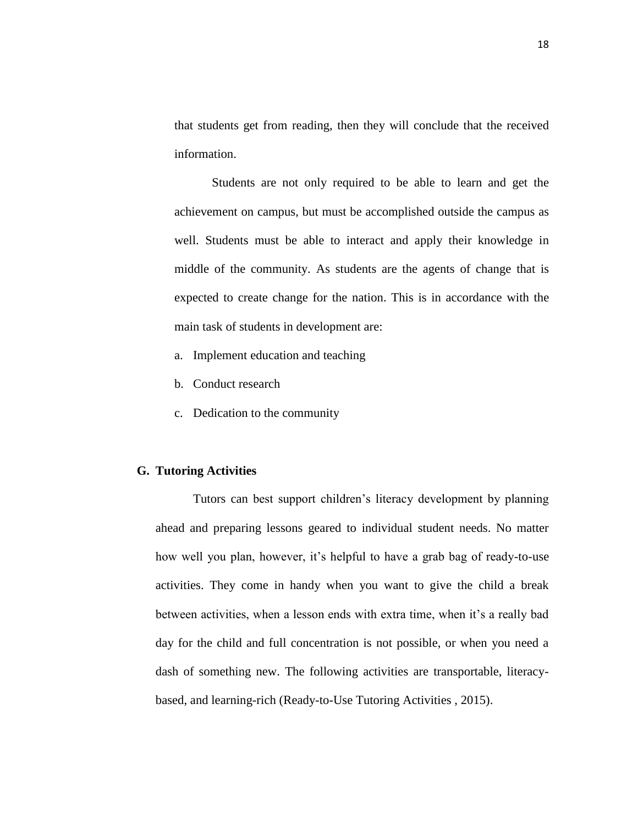that students get from reading, then they will conclude that the received information.

Students are not only required to be able to learn and get the achievement on campus, but must be accomplished outside the campus as well. Students must be able to interact and apply their knowledge in middle of the community. As students are the agents of change that is expected to create change for the nation. This is in accordance with the main task of students in development are:

- a. Implement education and teaching
- b. Conduct research
- c. Dedication to the community

# **G. Tutoring Activities**

Tutors can best support children's literacy development by planning ahead and preparing lessons geared to individual student needs. No matter how well you plan, however, it's helpful to have a grab bag of ready-to-use activities. They come in handy when you want to give the child a break between activities, when a lesson ends with extra time, when it's a really bad day for the child and full concentration is not possible, or when you need a dash of something new. The following activities are transportable, literacybased, and learning-rich (Ready-to-Use Tutoring Activities , 2015).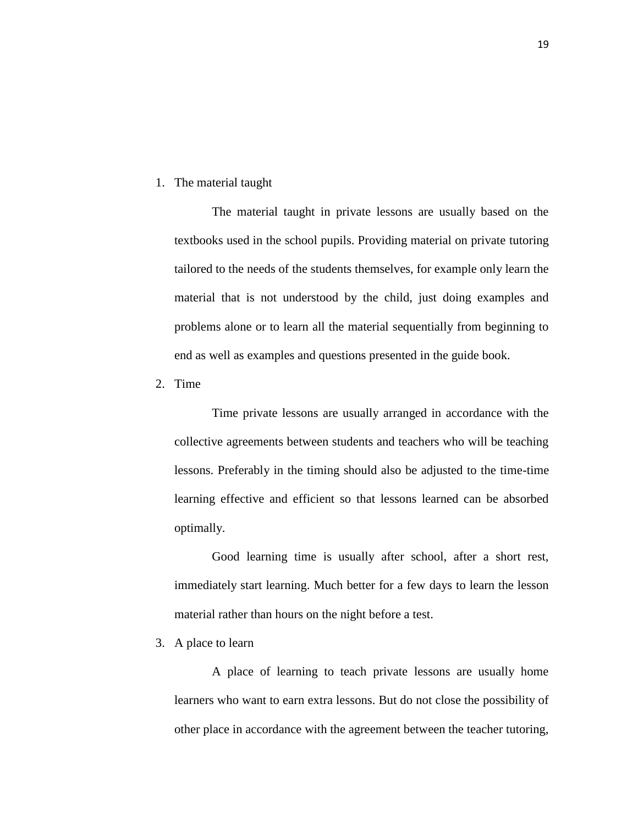# 1. The material taught

The material taught in private lessons are usually based on the textbooks used in the school pupils. Providing material on private tutoring tailored to the needs of the students themselves, for example only learn the material that is not understood by the child, just doing examples and problems alone or to learn all the material sequentially from beginning to end as well as examples and questions presented in the guide book.

2. Time

Time private lessons are usually arranged in accordance with the collective agreements between students and teachers who will be teaching lessons. Preferably in the timing should also be adjusted to the time-time learning effective and efficient so that lessons learned can be absorbed optimally.

Good learning time is usually after school, after a short rest, immediately start learning. Much better for a few days to learn the lesson material rather than hours on the night before a test.

3. A place to learn

A place of learning to teach private lessons are usually home learners who want to earn extra lessons. But do not close the possibility of other place in accordance with the agreement between the teacher tutoring,